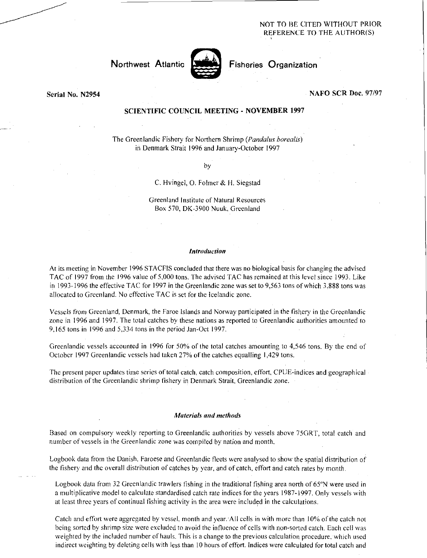## NOT TO HE CITED WITHOUT PRIOR REFERENCE TO. THE AUTHOR(S)



Northwest Atlantic **Nutleas** Fisheries Organization

## Serial No. N2954 NAFO SCR Doc. 97/97

# SCIENTIFIC COUNCIL MEETING - NOVEMBER 1997

The Greenlandic Fishery for Northern Shrimp *(Pandalus borealis)*  in Denmark Strait 1996 and January-October 1997

by

## C. Hvingel, 0. Folmer & H. Siegstad

Greenland Institute of Natural Resources Box 570, DK-3900 Nuuk, Greenland

#### *Introduction*

At its meeting in November 1996 STACFIS concluded that there was no biological basis for changing the advised TAC of 1997 from the 1996 value of 5,000 tons. The advised TAC has remained at this level since 1993. Like in 1993-1996 the effective TAC for 1997 in the Greenlandic zone was set to 9,563 tons of which 3,888 tons was allocated to Greenland. No effective TAC is set for the Icelandic zone.

Vessels from Greenland, Denmark, the Faroe Islands and Norway participated in the fishery in the Greenlandic zone in 1996 and 1997. The total catches by these nations as reported to Greenlandic authorities amounted to 9,165 tons in 1996 and 5,334 tons in the period Jan-Oct 1997.

Greenlandic vessels accounted in 1996 for 50% of the total catches amounting to 4,546 tons. By the end of October 1997 Greenlandic vessels had taken 27% of the catches equalling 1,429 tons.

The present paper updates time series of total catch, catch composition, effort, CPUE-indices and geographical distribution of the Greenlandic shrimp fishery in Denmark Strait, Greenlandic zone.

### *Materials and methods*

Based on compulsory weekly reporting to Greenlandic authorities by vessels above 75GRT, total catch and number of vessels in the Greenlandic zone was compiled by nation and month.

Logbook data from the Danish, Faroese and Greenlandic fleets were analysed to show the spatial distribution of the fishery and the overall distribution of catches by year, and of catch, effort and catch rates by month.

Logbook data from 32 Greenlandic trawlers fishing in the traditional fishing area north of 65"N were used in a multiplicative model to calculate standardised catch rate indices for the years 1987-1997. Only vessels with at least three years of continual fishing activity in the area were included in the calculations.

Catch and effort were aggregated by vessel, month and year. All cells in with more than 10% of the catch not being sorted by shrimp size were excluded to avoid the influence of cells with non-sorted catch. Each cell was weighted by the included number of hauls. This is a change to the previous calculation procedure, which used indirect weighting by deleting cells with less than 10 hours of effort. Indices were calculated for total catch and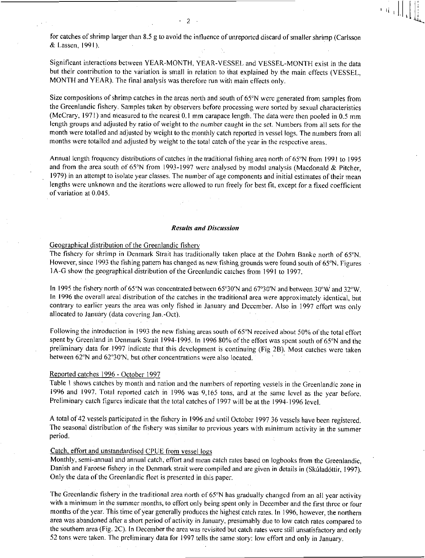for catches of shrimp larger than 8.5 g to avoid the influence of unreported discard of smaller shrimp (Carlsson & Lassen, 1991).

Significant interactions between YEAR-MONTH, YEAR-VESSEL and VESSEL-MONTH exist in the data but their contribution to the variation is small in relation to that explained by the main effects (VESSEL, MONTH and YEAR). The final analysis was therefore run with main effects only.

Size compositions of shrimp catches in the areas north and south of 65°N were generated from samples from the Greenlandic fishery. Samples taken by observers before processing were sorted by sexual characteristics (McCrary, 1971) and measured to the nearest 0.1 mm carapace length. The data were then pooled in 0.5 mm length groups and adjusted by ratio of weight to the number caught in the set. Numbers from all sets for the month were totalled and adjusted by weight to the monthly catch reported in vessel logs. The numbers from all months were totalled and adjusted by weight to the total catch of the year in the respective areas.

Annual length frequency distributions of catches in the traditional fishing area north of 65°N from 1991 to 1995 and from the area south of 65°N from 1993-1997 were analysed by modal analysis (Macdonald & Pitcher, 1979) in an attempt to isolate year classes. The number of age components and initial estimates of their mean lengths were unknown and the iterations were allowed to run freely for best fit, except for a fixed coefficient of variation at 0.045.

### *Results and Discussion*

### Geographical distribution of the Greenlandic fishery

The fishery for shrimp in Denmark Strait has traditionally taken place at the Dohrn Banke north of 65°N. However, since 1993 the fishing pattern has changed as new fishing grounds were found south of 65°N. Figures IA-G show the geographical distribution of the Greenlandic catches from 1991 to 1997.

In 1995 the fishery north of 65°N was concentrated between 65°30'N and 67°30'N and between 30°W and 32°W. In 1996 the overall areal distribution of the catches in the traditional area were approximately identical, but contrary to earlier years the area was only fished in January and December. Also in 1997 effort was only allocated to January (data covering Jan.-Oct).

Following the introduction in 1993 the new fishing areas south of 65"N received about 50% of the total effort spent by Greenland in Denmark Strait 1994-1995. In 1996 80% of the effort was spent south of 65°N and the preliminary data for 1997 indicate that this development is continuing (Fig 2B). Most catches were taken between 62°N and 62°30'N, but other concentrations were also located.

### Reported catches 1996 - October 1997

Table I shows catches by month and nation and the numbers of reporting vessels in the Greenlandic zone in 1996 and 1997. Total reported catch in 1996 was 9,165 tons, and at the same level as the year before. Preliminary catch figures indicate that the total catches of 1997 will be at the 1994-1996 level.

A total of 42 vessels participated in the fishery in 1996 and until October 1997 36 vessels have been registered. The seasonal distribution of the fishery was similar to previous years with minimum activity in the summer period.

# Catch, effort and unstandardised CPUE from vessel logs

Monthly, semi-annual and annual catch, effort and mean catch rates based on logbooks from the Greenlandic, Danish and Faroese fishery in the Denmark strait were compiled and are given in details in (Skuladottir, 1997). Only the data of the Greenlandic fleet is presented in this paper.

The Greenlandic fishery in the traditional area north of 65°N has gradually changed from an all year activity with a minimum in the summer months, to effort only being spent only in December and the first three or four months of the year. This time of year generally produces the highest catch rates. In 1996, however, the northern area was abandoned after a short period of activity in January, presumably due to low catch rates compared to the southern area (Fig. 2C). In December the area was revisited but catch rates were still unsatisfactory and only 52 tons were taken. The preliminary data for 1997 tells the same story: low effort and only in January.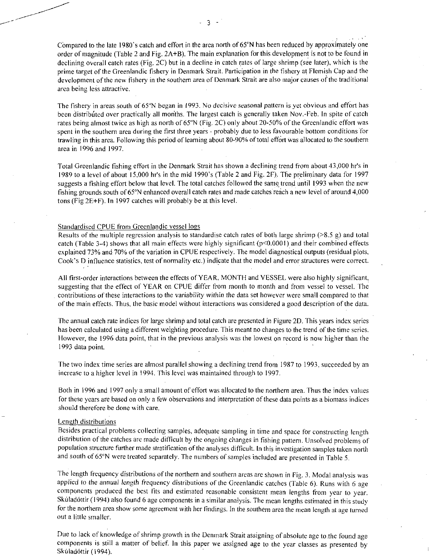Compared to the late 1980's catch and effort in the area north of 65°N has been reduced by approximately one order of magnitude (Table 2 and Fig. 2A+B). The main explanation for this development is not to be found in declining overall catch rates (Fig. 2C) but in a decline in catch rates of large shrimp (see later), which is the prime target of the Greenlandic fishery in Denmark Strait. Participation in the fishery at Flemish Cap and the development of the new fishery in the southern area of Denmark Strait are also major causes of the traditional area being less attractive.

The Fishery in areas south of 65°N began in 1993. No decisive seasonal pattern is yet obvious and effort has been distributed over practically all months. The largest catch is generally taken Nov.-Feb. In spite of catch rates being almost twice as high as north of 65°N (Fig. 2C) only about 20-50% of the Greenlandic effort was spent in the southern area during the first three years - probably due to less favourable bottom conditions for trawling in this area. Following this period of learning about 80-90% of total effort was allocated to the southern area in 1996 and 1997.

Total Greenlandic fishing effort in the Denmark Strait has shown a declining trend from about 43,000 hr's in 1989 to a level of about 15,000 hr's in the mid 1990's (Table 2 and Fig. 2F), The preliminary data for 1997 suggests a fishing effort below that level. The total catches followed the same trend until 1993 when the new fishing grounds south of 65°N enhanced overall catch rates and made catches reach a new level of around 4,000 tons (Fig 2E+F). In 1997 catches will probably be at this level.

### Standardised CPUE from Greenlandic vessel logs

Results of the multiple regression analysis to standardise catch rates of both large shrimp ( $\geq 8.5$  g) and total catch (Table 3-4) shows that all main effects were highly significant (p<0.0001) and their combined effects explained 73% and 70% of the variation in CPUE respectively. The model diagnostical outputs (residual plots, Cook's D influence statistics, test of normality etc.) indicate that the model and error structures were correct.

All first-order interactions between the effects of YEAR, MONTH and VESSEL were also highly significant, suggesting that the effect of YEAR on CPUE differ from month to month and from vessel to vessel. The contributions of these interactions to the variability *within* the data set however were small compared to that of the main effects. Thus, the basic model without interactions was considered a good description of the data.

The annual catch rate indices for large shrimp and total catch are presented in Figure 2D. This years index series has been calculated using a different weighting procedure. This meant no changes to the trend of the time series. However, the 1996 data point, that in the previous analysis was the lowest on record is now higher than the 1993 data point.

The two index time series are almost parallel showing a declining trend from 1987 to 1993, succeeded by an increase to a higher level in 1994. This level was maintained through to 1997.

Both in 1996 and 1997 only a small amount of effort was allocated to the northern area. Thus the index values for these years are based on only a few observations and interpretation of these data points as a biomass indices should therefore be done with care.

### Length distributions

Besides practical problems collecting samples, adequate sampling in time and space for constructing length distribution of the catches are made difficult by the ongoing changes in fishing pattern. Unsolved problems of population structure further made stratification of the analyses difficult. In this investigation samples taken north and south of 65°N were treated separately. The numbers of samples included are presented in Table 5.

The length frequency distributions of the northern and southern areas are shown in Fig. 3. Modal analysis was applied to *the annual length* frequency distributions of the Greenlandic catches (Table 6). Runs with 6 age components produced the best fits and estimated reasonable consistent mean lengths from year to year. Skúladóttir (1994) also found 6 age components in a similar analysis. The mean lengths estimated in this study for the northern area show some agreement with her findings. In the southern area the mean length at age turned out a little smaller.

Due to lack of knowledge of shrimp growth in the Denmark Strait assigning of absolute age to the found age components is still a matter of belief. In this paper we assigned age to the year classes as presented by Skúladóttir (1994).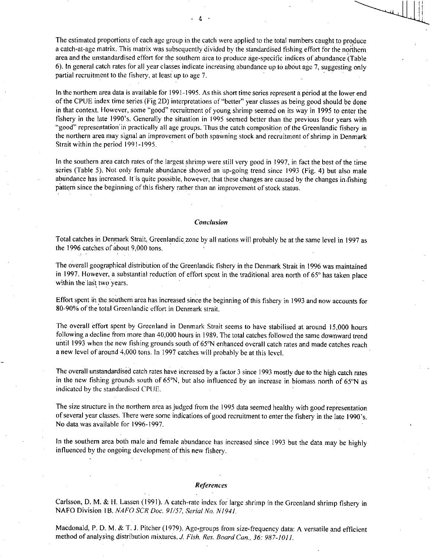The estimated proportions of each age group in the catch were applied to the total numbers caught to produce a catch-at-age matrix. This matrix was subsequently divided by the standardised fishing effort for the northern area and the unstandardised effort for the southern area to produce age-specific indices of abundance (Table 6). In general catch rates for all year classes indicate increasing abundance up to about age 7, suggesting only partial recruitment to the fishery, at least up to age 7.

- 4

In the northern area data is available for 1991-1995. As this short time series represent a period at the lower end of the CPUE index time series (Fig 2D) interpretations of "better" year classes as being good should be done in that context. However, some "good" recruitment of young shrimp seemed on its way in 1995 to enter the fishery in the late 1990's. Generally the situation in 1995 seemed better than the previous four years with "good" representation in practically all age groups. Thus the catch composition of the Greenlandic fishery in the northern area may signal an improvement of both spawning stock and recruitment of shrimp in Denmark Strait within the period 1991-1995.

In the southern area catch rates of the largest shrimp were still very good in 1997, in fact the best of the time series (Table 5). Not only female abundance showed an up-going trend since 1993 (Fig. 4) but also male abundance has increased. If is quite possible, however, that these changes are caused by the changes in/fishing pattern since the beginning of this fishery rather than an improvement of stock status.

### *Conclusion*

Total catches in Denmark Strait, Greenlandic zone by all nations will probably be at the same level in 1997 as the 1996 catches of about 9,000 tons.

The overall geographical distribution of the Greenlandic fishery in the Denmark Strait in 1996 was maintained in 1997. However, a substantial reduction of effort spent in the traditional area north of 65° has taken place within the last two years.

Effort spent in the southern area has increased since the beginning of this fishery in 1993 and now accounts for 80-90% of the total Greenlandic effort in Denmark strait.

The overall effort spent by Greenland in Denmark Strait seems to have stabilised at around 15,000 hours following a decline from more than 40,000 hours in 1989. The total catches followed the same downward trend until 1993 when the new fishing grounds south of 65°N enhanced overall catch rates and made catches reach a new level of around 4,000 tons. In 1997 catches will probably be at this level.

The overall unstandardised catch rates have increased by a factor 3 since 1993 mostly due to the high catch rates in the new fishing grounds south of 65°N, but also influenced by an increase in biomass north of 65°N as indicated by the standardised CPI1E.

The size structure in the northern area as judged from the 1995 data seemed healthy with good representation of several year classes. There were some indications of good recruitment to enter the fishery in the late 1990's. No data was available for 1996-1997.

In the southern area both male and female abundance has increased since 1993 but the data may be highly influenced by the ongoing development of this new fishery.

#### *References*

Carlsson, D. M. & H. Lassen (1991). A catch-rate index for large shrimp in the Greenland shrimp fishery in NAFO Division 1B. NAFO SCR Doc. 91/57, Serial No. N1941.

Macdonald, P. D. M. & T. *J.* Pitcher (1979). Age-groups from size-frequency data: A versatile and efficient method of analysing distribution mixtures. *J. Fish. Res. Board Can., 36: 987-1011.*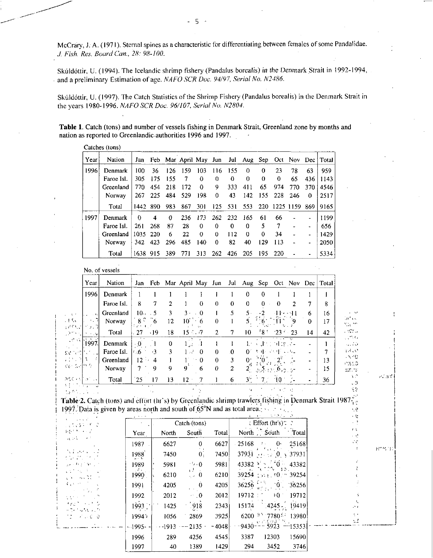McCrary, J: A. (1971). Sternal spines as a characteristic for differentiating between females of some Pandalidae. *.1 Fish. Res. Board Can., 28: 98-100.* 

Skúldóttir, U. (1994). The Icelandic shrimp fishery (Pandalus borealis) in the Denmark Strait in 1992-1994, • and a preliminary Estimation of age. *NAFO SCR Doc. 94/97, Serial No. N2486.* 

Skúldóttir, U. (1997). The Catch Statistics of the Shrimp Fishery (Pandalus borealis) in the Denmark Strait in the years 1980-1996. *NAFO SCR Doc. 96/107, Serial No. N2804.* 

Table 1. Catch (tons) and number of vessels fishing in Denmark Strait, Greenland zone by months and nation as reported to Greenlandic authorities 1996 and 1997.

|      | Catenes (tons) |          |      |      |     |          |            |       |          |          |                   |     |                     |                                                     |
|------|----------------|----------|------|------|-----|----------|------------|-------|----------|----------|-------------------|-----|---------------------|-----------------------------------------------------|
| Year | <b>Nation</b>  | Jan      |      |      |     |          |            |       |          |          |                   |     |                     | Feb Mar April May Jun Jul Aug Sep Oct Nov Dec Total |
| 1996 | Denmark        | 100      | 36   | 126  | 159 | 103      | 116        | 155   | 0        | $\Omega$ | 23                | 78  | 63                  | 959                                                 |
|      | Faroe Isl.     | 305      | 175  | -155 | 7   | 0        | 0          | 0     | 0        | 0        | 0                 | 65  | 436                 | 1143                                                |
|      | Greenland      | 770      | 454  | 218  | 172 | $\Omega$ | 9          | 333   | 41 I     | 65       | 974               | 770 | 370                 | 4546                                                |
|      | <b>Norway</b>  | 267      | 225  | 484  | 529 | 198      | 0          | 43    | 142      | 155      | -228              | 246 | 0                   | 2517                                                |
|      | Total          | 1442 890 |      | 983  | 867 | 301      | 125        | - 531 | 553      |          | 220 1225 1159 869 |     |                     | 9165                                                |
| 1997 | Denmark        | 0        | 4    | 0    | 236 | 173      | 262        | 232   | -165     | 61       | 66                |     |                     | 1199                                                |
|      | Faroe Isl.     | 261      | 268  | 87   | 28  | 0        | 0          | 0     | 0        | 5        | 7                 |     | $\blacksquare$      | 656                                                 |
|      | Greenland      | 1035     | -220 | 6    | 22  | 0        | 0          | 112   | $\Omega$ | 0        | 34                |     | ٠                   | 1429                                                |
|      | Norway         | 342      | 423  | 296  | 485 | 140      | 0          | 82    | 40       | 129      | 113               |     | $\hat{\phantom{a}}$ | 2050                                                |
|      | Total          | 1638 915 |      | 389  | 771 | 313      | <b>262</b> | 426   | 205      | 195.     | -220              |     |                     | 5334                                                |

No. of vessels

 $\sim$ 

| Year                                                      | Nation     |                          |                |                |                 |                |          |              | Jan Feb Mar April May Jun Jul Aug Sep Oct Nov Dec Total |                                                                                            |                                                 |                |          |    |
|-----------------------------------------------------------|------------|--------------------------|----------------|----------------|-----------------|----------------|----------|--------------|---------------------------------------------------------|--------------------------------------------------------------------------------------------|-------------------------------------------------|----------------|----------|----|
| 1996                                                      | Denmark    |                          |                |                |                 |                |          |              | 0                                                       | $\theta$                                                                                   |                                                 |                |          |    |
|                                                           | Faroe Isl. | 8                        | 7              | $\overline{2}$ |                 | $\bf{0}$       | $\Omega$ | $\Omega$     | 0                                                       | $\Omega$                                                                                   | 0                                               | $\overline{2}$ | 7        | 8  |
| $\mathcal{L} = \mathcal{L} \times \mathcal{L}$<br>المحارب | Greenland  | $10^{6}$ 5               |                | 3              | $3 \cdot 0$     |                |          | 5.           | $5 -$                                                   | $\cdots$ 2                                                                                 | ना स्वत                                         |                | 6        | 16 |
| - 17 L<br>$\sim$ $\sim$ $\sim$<br>노르트 레 루키 이              | Norway     | $\frac{8.0}{(1 + 1)^2}6$ |                | 12             |                 | $10^{3} - 6$   | $\Omega$ |              |                                                         | $5 \frac{5}{100}$ $\frac{1}{10}$ $\frac{1}{2}$ $\frac{1}{2}$                               |                                                 |                | $\Omega$ | 17 |
| العرب والمعتقل                                            | Total      | -27                      | -19            | 18             | $15 - 7$        |                | 2        | 7.           | 10.                                                     |                                                                                            | ${}^{5}8$ ${}^{5}$ ${}^{2}3$ ${}^{6}$ ${}^{2}3$ |                | 14       | 42 |
| - 高速回り<br>[1997.]                                         | Denmark    | $\pm 0^+$                | $\overline{1}$ | $\bf{0}$       | $1_{11}$ $1$    |                |          |              |                                                         | des alternations                                                                           | <u>राजका ध</u>                                  |                |          |    |
| servol                                                    | Faroe Isl. | $66 - 3$                 |                | 3              | 1.3             | $\theta$       | $\Omega$ | $\Omega$     | 0.                                                      | 그 회사 로도가 오르다고.                                                                             |                                                 |                |          | 7  |
| おい 日本                                                     | Greenland  | $12 \cdot 4$             |                |                |                 | $1 \cdot 0$    | $\Omega$ | 3            |                                                         | $0 \left( \frac{5}{4} \right) 0 \left( \frac{2^2}{1} \right) \left( \frac{2^2}{2} \right)$ |                                                 |                |          | 13 |
| 공간 실력한 이                                                  | Norway     | $7 -$                    | <b>Q</b>       | 9              | 9               | 6              | 0        | $\mathbf{2}$ |                                                         | $2\frac{1}{2}$ 36, 336, 6, 5, 5-                                                           |                                                 |                |          | 15 |
| ascedianul.                                               | Total      | 25                       | 17             | 13             | 12 <sup>2</sup> | $\overline{7}$ |          | 6            |                                                         | $3^{\circ}$ 7. 10 $^{\circ}$                                                               |                                                 |                |          | 36 |
| <u>ਸ਼ਿਲ ਸਾਹਿ</u><br><b>ACRES STORY</b>                    |            |                          | $\sim$ $\sim$  |                |                 |                |          |              |                                                         |                                                                                            | 不可能的 经                                          |                |          |    |

**K-C** 

CAK

38.75 VΡ

> $\sim 3$  $\xi$

 $\cdot$   $\,$  $\epsilon$  -9 r t  $\in \mathbb{C}^3$ ć¢

> ξ¥ ΩŹ

パコイ

 $\mathbf{R}^{mag}(\mathbf{f})$ 

**Called** 

ita re

Table 2. Catch (tons) and effort (hr's) by Greenlandic shrimp trawlers fishing in Denmark Strait 1987 $\frac{3}{10}$ 1997. Data is given by areas north and south of  $65^{\circ}$ N and as total area. 52

| .                                                                                                                                                                                                                                                                                                                                                                                                                                                                                |               |         |                                       |         | $\mathbf{1}$ | コンスティース                                  |                 |
|----------------------------------------------------------------------------------------------------------------------------------------------------------------------------------------------------------------------------------------------------------------------------------------------------------------------------------------------------------------------------------------------------------------------------------------------------------------------------------|---------------|---------|---------------------------------------|---------|--------------|------------------------------------------|-----------------|
| $\mathcal{L} \propto \mathcal{L} \, \mathcal{L}^2$<br>しょちょちり パーこ                                                                                                                                                                                                                                                                                                                                                                                                                 |               |         | $\text{Catch}\ ( \text{tons} )$       |         |              | : Effort (hr's) $\hat{z}$ ?              |                 |
| PETAL FLY                                                                                                                                                                                                                                                                                                                                                                                                                                                                        | Year          | North   | South                                 | Total   |              | North , South                            | : Total         |
| $\omega_{\rm C}$ (SV) $\gamma_{\rm C}$ , we fix                                                                                                                                                                                                                                                                                                                                                                                                                                  | 1987          | 6627    | 0                                     | 6627    | $-25168$     | 0·<br>$f_{\rm{c}}$ .                     | 25168           |
| No participation of<br>$\mathcal{L}^{\mathcal{L}}(\mathcal{L}^{\mathcal{L}}(\mathcal{L}^{\mathcal{L}}(\mathcal{L}^{\mathcal{L}}(\mathcal{L}^{\mathcal{L}}(\mathcal{L}^{\mathcal{L}}(\mathcal{L}^{\mathcal{L}}(\mathcal{L}^{\mathcal{L}}(\mathcal{L}^{\mathcal{L}}(\mathcal{L}^{\mathcal{L}}(\mathcal{L}^{\mathcal{L}}(\mathcal{L}^{\mathcal{L}}(\mathcal{L}^{\mathcal{L}}(\mathcal{L}^{\mathcal{L}}(\mathcal{L}^{\mathcal{L}}(\mathcal{L}^{\mathcal{L}}(\mathcal{L}^{\mathcal{L$ | 1988<br>2 - L | 7450    | $\mathbf{0}$ .                        | 7450    |              | あいす いっちゃ<br>$37931 \rightarrow 0.337931$ |                 |
| 医细胞性 医骨折 医牙                                                                                                                                                                                                                                                                                                                                                                                                                                                                      | 1989          | 5981    | $+5.0$                                | 5981    |              | $43382$ and $20^{\circ}$                 | 43382           |
| <b>Contract Contract</b><br>an will                                                                                                                                                                                                                                                                                                                                                                                                                                              | .<br>1990     | 6210    | тJ.<br>$\sim 0$                       | 6210    |              | ጉባባሉ ነው<br>$39254 + 1110 = 39254$        |                 |
| Part of College                                                                                                                                                                                                                                                                                                                                                                                                                                                                  | 1991          | 4205    | $\bf{0}$<br>$\mathbf{r}=\mathbf{r}$ . | 4205    | 36256        | ಭೋಟಿ                                     | 36256           |
| デートウェア<br>tit film                                                                                                                                                                                                                                                                                                                                                                                                                                                               | 1992          | 2012    | $\leq 0$                              | 2012    | 19712 : 1    | ⊹0∵                                      | 19712           |
| 保証 さいことな<br>医高级 分散的 医原                                                                                                                                                                                                                                                                                                                                                                                                                                                           | 1993,         | 1425    | $-918$                                | 2343    | 15174        |                                          | $14245 - 19419$ |
| in in viel die                                                                                                                                                                                                                                                                                                                                                                                                                                                                   | ن 1994        | 1056    | 2869                                  | 3925    |              | 6200 31 7780 51 13980                    |                 |
|                                                                                                                                                                                                                                                                                                                                                                                                                                                                                  | - 1995 -      | $-1913$ | $-2135$                               | $-4048$ |              | マックミサオミン<br>-9430--- 5923 --15353        |                 |
|                                                                                                                                                                                                                                                                                                                                                                                                                                                                                  | 1996          | 289     | 4256                                  | 4545    | 3387         | 12303                                    | 15690           |
|                                                                                                                                                                                                                                                                                                                                                                                                                                                                                  | 1997          | 40      | 1389                                  | 1429    | 294          | 3452                                     | 3746            |

5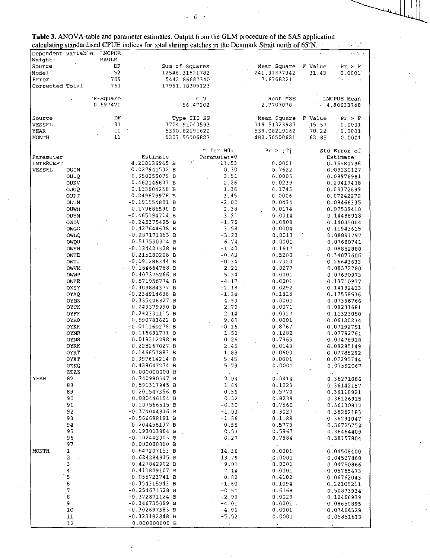|                            |                     |                       | calculating standardised CPUE indices for total shrimp catches in the Denmark Strait north of 65°N. A 20 |                    |                              |                                    |
|----------------------------|---------------------|-----------------------|----------------------------------------------------------------------------------------------------------|--------------------|------------------------------|------------------------------------|
| Dependent Variable: LNCPUE |                     |                       |                                                                                                          |                    |                              |                                    |
| Weight:                    |                     | <b>HAULS</b>          |                                                                                                          |                    |                              |                                    |
| Source                     |                     | DF                    | Sum of Squares.                                                                                          |                    | Mean Square                  | F Value<br>Pr > F                  |
| Model                      |                     | 52                    | 12548.31621782                                                                                           |                    | 241.31377342                 | 31.43<br>0.0001                    |
| Error                      |                     | 709                   | 5442.86687340                                                                                            |                    | 7.67682211                   | むいい                                |
| Corrected Total            |                     | 761                   | 17991.18309123                                                                                           |                    |                              |                                    |
|                            |                     |                       |                                                                                                          |                    |                              |                                    |
|                            |                     | R-Square              |                                                                                                          | C.V.               | Root MSE                     | LNCPUE Mean                        |
|                            |                     | 0.697470              | 56.47202                                                                                                 |                    | 2.7707078                    | 4.90633748                         |
|                            |                     |                       |                                                                                                          |                    |                              |                                    |
| Source                     |                     | DF                    | Type III SS                                                                                              |                    | Mean Square                  | F Value<br>Pr > F                  |
| VESSEL                     |                     | 31<br>10 <sup>°</sup> | 3704.91043593                                                                                            |                    | 119.51323987                 | 15.57<br>0.0001                    |
| YEAR<br>MONTH              |                     | 11                    | 5390.82191622<br>5307.55506827                                                                           |                    | 539.08219162<br>482.50500621 | 70.22<br>0.0001<br>62.85<br>0.0001 |
|                            |                     |                       |                                                                                                          |                    |                              |                                    |
|                            |                     |                       |                                                                                                          | T for HO:          | $ \mathbf{T} $<br>Pr >       | Std Error of                       |
| Parameter                  |                     |                       | Estimate                                                                                                 | Parameter=0        |                              | Estimate                           |
| INTERCEPT                  |                     |                       | 4.218136945 B                                                                                            | 11.53              | 0.0001                       | 0.36580796                         |
| VESSEL                     | OUIN                |                       | 0.027941532 B                                                                                            | 0.30               | 0.7622                       | 0.09230127                         |
|                            | OUIQ                |                       | 0.350255079 B                                                                                            | 3.51               | 0.0005                       | 0.09976981                         |
|                            | OUKV                |                       | 0.462146827 B                                                                                            | 2.26               | 0.0239                       | 0.20417438                         |
|                            | <b>OUOQ</b>         |                       | 0.113804258 B                                                                                            | 1.36               | 0.1745                       | 0.08372699                         |
|                            | OUPJ                |                       | 0.249679976 B                                                                                            | 3.45               | 0.0006                       | 0.07242272                         |
|                            | <b>OUTM</b>         |                       | -0.191554891 B                                                                                           | $-2.02$            | 0.0434                       | 0.09466335                         |
|                            | <b>OUWH</b>         |                       | 0.179686590 B                                                                                            | 2.38               | 0.0174                       | 0.07539410                         |
|                            | OUYM                |                       | $-0.465194714$ B                                                                                         | $-3.21$            | 0.0014                       | 0.14486918                         |
|                            | OWDV                |                       | $-0.245375495 B$                                                                                         | $-1.75$            | 0.0808                       | 0.14035004                         |
|                            | OWCG                |                       | 0.427644638 B                                                                                            | 3.58               | 0.0004                       | 0.11943615                         |
|                            | <b>CMLQ</b>         |                       | -0.287171863 B                                                                                           | $-3.23$            | 0.0013                       | 0.08891797                         |
|                            | OWQU                |                       | 0.517530914 B                                                                                            | 6.74               | 0.0001                       | 0.07680741                         |
|                            | OWSH                |                       | -0.124427328 B                                                                                           | $-1.40$            | 0.1617                       | 0.08882880                         |
|                            | OWUD                |                       | $-0.215180208$ B<br>$-0.091286344 B$                                                                     | $-0.63$            | 0.5280                       | 0.34077606                         |
|                            | OWUJ<br><b>OWVM</b> |                       | $-0,184664788$ B                                                                                         | $-0.34$<br>$-2.21$ | 0.7320<br>0.0277             | 0.26643633<br>0.08372780           |
|                            | OWWP                |                       | 0.407375266 B                                                                                            | 5.34               | 0.0001                       | 0.07630973                         |
|                            | OWZR                |                       | $-0.571956774 B$                                                                                         | $-4.17$            | 0.0001                       | 0.13710977                         |
|                            | OXSY                |                       | $-0.309884377 B$                                                                                         | $-2.18$            | 0.0292                       | 0.14182413                         |
|                            | OYAQ                |                       | $-0.234914638$ B                                                                                         | $-1.34$            | 0.1814                       | 0.17558536                         |
|                            | OYBZ                |                       | 0.335406827 B.                                                                                           | 4.53               | 0.0001                       | 0.07396766                         |
|                            | OYCK                |                       | 0.249379990 B                                                                                            | 2.70               | 0.0071                       | 0.09231681                         |
|                            | OYFF                |                       | 0.242331115 B                                                                                            | 2.14               | 0.0327                       | 0.11323050                         |
|                            | OYHO                |                       | 0.590783622 B                                                                                            | 9.65               | $\cdot$ 0.0001               | 0.06120234                         |
|                            | OYKK                |                       | $-0.011160278$ B                                                                                         | -0.16              | 0.8767                       | 0.07192751                         |
|                            | OYNR                |                       | 0.118691731 B                                                                                            | 1.52               | 0.1282                       | 0.07792761                         |
|                            | OYNS                |                       | 0.019312298 B                                                                                            | 0.26               | 0.7963                       | 0.07478918                         |
|                            | OYRK                |                       | 0.228267027 B                                                                                            | 2.46               | 0.0143                       | 0.09295149                         |
|                            | <b>OYRT</b>         |                       | 0.146657883 B                                                                                            | 1.88               | 0.0600                       | 0.07785292                         |
|                            | OYXT                |                       | 0.397614214 B                                                                                            | 5.45               | 0.0001                       | 0.07295744                         |
|                            | OZKQ                |                       | 0.439647274 B<br>0.000000000B                                                                            | 5.79               | 0.0001                       | 0.07592067                         |
| YEAR                       | <b>ZZZZ</b><br>87   |                       | 0.740990547 B                                                                                            | $\bullet$<br>2.04  | $\hat{\bullet}$              |                                    |
|                            | 88                  |                       | 0.591317945 B                                                                                            | 1.64               | 0.0414<br>0.1023             | 0.36271086<br>0.36142157           |
|                            | 89                  |                       | 0.201547356 B                                                                                            | 0.56               | 0.5770                       | 0.36118921                         |
|                            | 90                  |                       | 0.080446154 B                                                                                            | 0.22               | 0.8239                       | 0.36126915                         |
|                            | 91                  |                       | $-0.107566515$ B                                                                                         | $-0.30$            | 0.7660                       | 0.36130812                         |
|                            | 92                  |                       | $-0.374044916$ B                                                                                         | $-1.03$            | 0.3027                       | 0.36262183                         |
|                            | 93                  |                       | -0.566698191 B                                                                                           | $-1.56$            | 0.1188                       | 0.36291047                         |
|                            | 94                  |                       | 0.204458137 B                                                                                            | 0.56.              | 0.5779                       | 0.36725752                         |
|                            | 95                  |                       | 0.193013884 B                                                                                            | 0.53               | I.<br>0.5967                 | 0.36464409                         |
|                            | 96                  |                       | $-0.102442003$ B                                                                                         | $-0.27$            | 0.7884                       | 0.38157804                         |
|                            | 97                  |                       | 0.000000000 B                                                                                            |                    | $\bullet$                    |                                    |
| MONTH                      | 1                   |                       | 0.647207153 B                                                                                            | 14.36              | 0.0001                       | 0.04508400                         |
|                            | 2                   |                       | 0.624284915 B                                                                                            | 13.79              | .0.0001                      | 0.04527860                         |
|                            | 3                   |                       | 0.427842902 B                                                                                            | 9.01               | 0.0001                       | 0.04750866                         |
|                            | $\ddot{\textbf{4}}$ |                       | $0.411809107$ B                                                                                          | 7.14               | 0.0001                       | 0.05765473                         |
|                            | 5                   |                       | 0.055723741 B                                                                                            | 0.82               | 0.4102                       | 0.06762043                         |
|                            | $\epsilon$          |                       | $-0.354315943 B$                                                                                         | $-1.60$            | 0.1094                       | 0.22105211                         |
|                            | 7                   |                       | $-0.254671528$ B                                                                                         | $-0.50$            | 0.6168                       | 0.50873934                         |
|                            | 8                   |                       | $-0.372871124 B$                                                                                         | -2.99              | 0.0029                       | 0.12466939                         |
|                            | 9                   |                       | -0.346735099 B                                                                                           | $-4.01$            | 0.0001                       | 0.08650895                         |
|                            | 10                  |                       | -0.302697583 B                                                                                           | $-4.06$            | 0.0001                       | 0.07464328                         |
|                            | 11                  |                       | $-0.323182848 B$                                                                                         | $-5.52$            | 0.0001                       | 0.05851613                         |
|                            | 12                  |                       | 0.000000000B                                                                                             |                    |                              |                                    |

Table 3. ANOVA-table and parameter estimates. Output from the GLM procedure of the SAS application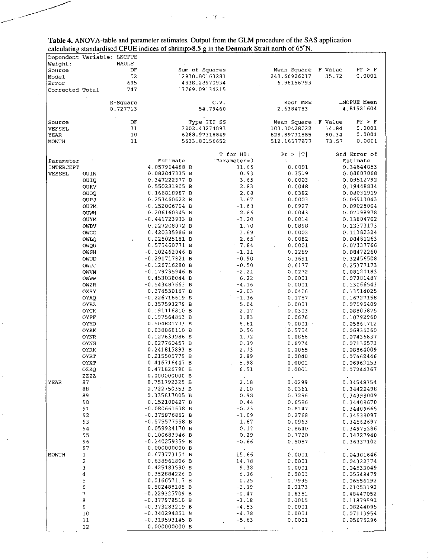|                 |                            | calculating standardised CPUE morees of surflup $\sim$ 8.5 g in the Definition Sulate norm of 65 TV. |                |             |                     |         |                        |
|-----------------|----------------------------|------------------------------------------------------------------------------------------------------|----------------|-------------|---------------------|---------|------------------------|
|                 | Dependent Variable: LNCPUE |                                                                                                      |                |             |                     |         |                        |
| Weight:         | <b>HAULS</b>               |                                                                                                      |                |             |                     |         |                        |
| Source          |                            | DF                                                                                                   | Sum of Squares |             | Mean Square         | F Value | $Pr$ > $F$             |
| Model           |                            | 52                                                                                                   | 12930.80163281 |             | 248.66926217        | 35.72   | 0.0001                 |
| Error           |                            | 695                                                                                                  | 4838.28970934  |             | 6.96156793          |         |                        |
| Corrected Total |                            | 747                                                                                                  | 17769.09134215 |             |                     |         |                        |
|                 |                            |                                                                                                      |                |             |                     |         |                        |
|                 | R-Square                   |                                                                                                      | C.V.           |             | Root MSE            |         | LNCPUE Mean            |
|                 | 0.727713                   |                                                                                                      | 54.79460       |             | 2.6384783           |         | 4.81521604             |
|                 |                            |                                                                                                      |                |             |                     |         |                        |
| Source          |                            | DF                                                                                                   | Type III SS    |             | Mean Square F Value |         | Pr > F                 |
| <b>VESSEL</b>   |                            | 31                                                                                                   | 3202.43274893  |             | 103.30428222        | 14.84   | 0.0001                 |
|                 |                            | 10                                                                                                   | 6288.97318849  |             | 628.89731885        | 90.34   | 0.0001                 |
| YEAR            |                            |                                                                                                      |                |             |                     |         |                        |
| MONTH           |                            | 11                                                                                                   | 5633.80156652  |             | 512.16377877        | 73.57   | 0.0001                 |
|                 |                            |                                                                                                      |                |             |                     |         |                        |
|                 |                            |                                                                                                      |                | T for HO:   | Pr >  T             |         | Std Error of           |
| Parameter       |                            | Estimate                                                                                             |                | Parameter=0 |                     |         | Estimate               |
| INTERCEPT       |                            | 4.057964488 B                                                                                        |                | 11.65       | 0.0001              |         | 0.34844053             |
| VESSEL          | OUIN                       | 0.082047335 B                                                                                        |                | 0.93        | 0.3519              |         | 0.08807068             |
|                 | OUIQ                       | 0.347222377 B                                                                                        |                | 3.65        | 0.0003              |         | 0.09512792             |
|                 | OUKV                       | 0.550281905 B                                                                                        |                | 2.83        | 0.0048              |         | 0.19448834             |
|                 | OUOQ                       | 0.166818987 B                                                                                        |                | 2.08        | 0.0382              |         | 0.08031919             |
|                 | OUPJ                       | 0.253460622 B                                                                                        |                | 3.67        | 0.0003              |         | 0.06913043             |
|                 | OUTM.                      | $-0.152006704 B$                                                                                     |                | $-1.68$     | 0.0927              |         | 0.09028004             |
|                 | OUWH                       | 0.206160345 B                                                                                        |                | 2.86        | 0.0043              |         | 0.07198978             |
|                 | OUYM                       | $-0.441723933 B$                                                                                     |                | $-3.20$     | 0.0014              |         | 0.13804702             |
|                 | OWDV                       | $-0.227208072B$                                                                                      |                | $-1.70$     | 0.0898              |         | 0.13373173             |
|                 |                            | 0.420335986 B                                                                                        |                | 3.69        |                     |         | 0.11382324             |
|                 | OWGG                       |                                                                                                      |                |             | 0.0002              |         |                        |
|                 | OWLO                       | $-0.225025181$ B                                                                                     |                | $-2.65$     | 0.0082              |         | 0.08481263             |
|                 | OWQU                       | 0.575460771 B                                                                                        |                | 7.84        | 0.0001              |         | 0.07337766             |
|                 | OWSH                       | $-0.102462046 B$                                                                                     |                | $-1.21$     | 0.2269              |         | 0.08472260             |
|                 | OWUD                       | $-0.291717821$ B                                                                                     |                | $-0.90$     | 0.3691              |         | 0.32456508             |
|                 | OWUJ                       | $-0.126716280$ B                                                                                     |                | $-0.50$     | 0.6177              |         | 0.25377173             |
|                 | OWVM                       | $-0.179735946$ B                                                                                     |                | $-2.21$     | 0.0272              |         | 0.08120183             |
|                 | OWWP                       | 0.453038044 B                                                                                        |                | 6.22        | 0.0001              |         | 0.07281487             |
|                 | OWZR                       | $-0.543487663 B$                                                                                     |                | $-4.16$     | 0.0001              |         | 0.13066543             |
|                 | OXSY                       | $-0.274530167$ B                                                                                     |                | $-2.03$     | 0.0426              |         | 0.13514025             |
|                 | OYAQ                       | $-0.226716619 B$                                                                                     |                | $-1.36$     | 0.1757              |         | 0.16727158             |
|                 |                            |                                                                                                      |                | 5.04        |                     |         |                        |
|                 | OYBZ                       | 0.357593279 B                                                                                        |                |             | 0.0001              |         | 0.07095409             |
|                 | OYCK                       | 0.191116810 B                                                                                        |                | 2.17        | 0.0303              |         | 0.08805875             |
|                 | OYFF                       | 0.197564853 B                                                                                        |                | 1.83        | 0.0676              |         | 0.10792960             |
|                 | OYHO                       | 0.504821733 B                                                                                        |                | 8.61        | 0.0001              |         | 0.05861712             |
|                 | OYKK                       | 0.038868110 B                                                                                        |                | 0.56        | 0.5754              |         | 0.06935360             |
|                 | OYNR                       | 0.127633986 B                                                                                        |                | 1.72        | 0.0866              |         | 0.07436837             |
|                 | OYNS                       | 0.027760457 B                                                                                        |                | 0.39        | 0.6974              |         | 0.07136573             |
|                 | OYRK                       | 0.241815893 B                                                                                        |                | 2.73        | 0.0065              |         | 0.08864009             |
|                 | OYRT                       | 0.215505779 B                                                                                        |                | 2.89        | 0.0040              |         | 0.07462446             |
|                 | OYXT                       | 0.416716447 B                                                                                        |                | 5.98        | 0.0001              |         | 0.06963153             |
|                 | OZKQ                       | 0.471826790 B                                                                                        |                | 6.51        | 0.0001              |         | 0.07244367             |
|                 | 22 Z Z                     | 0.000000000 B                                                                                        |                |             |                     |         |                        |
|                 | 87                         | 0.751792325 B                                                                                        |                | 2.18        | 0.0299              |         |                        |
| YEAR            |                            |                                                                                                      |                |             |                     |         | 0.34548754             |
|                 | 88                         | 0.722750353 B                                                                                        |                | 2.10        | 0.0361              |         | 0.34422498             |
|                 | 89                         | 0.335617005 B                                                                                        |                | 0.98        | 0.3296              |         | 0.34398009             |
|                 | 90                         | 0.152100427 B                                                                                        |                | 0.44        | 0.6586              |         | 0.34408670             |
|                 | 91                         | $-0.080661638 B$                                                                                     |                | $-0.23$     | 0.8147              |         | 0.34409665             |
|                 | 92                         | $-0.375876862 B$                                                                                     |                | $-1.09$     | 0.2768              |         | 0.34538097             |
|                 | 93                         | $-0.575577558 B$                                                                                     |                | $-1.67$     | 0.0963              |         | 0.34562697             |
|                 | 94                         | 0.059924170 B                                                                                        |                | 0.17        | 0.8640              |         | 0.34975286             |
|                 | 95                         | 0.100683946 B                                                                                        |                | 0.29        | 0.7720              |         | 0.34727940             |
|                 | 96                         | $-0.240259359 B$                                                                                     |                | $-0.66$     | 0.5087              |         | 0.36337102             |
|                 | 97                         | 0.000000000 B                                                                                        |                |             |                     |         |                        |
| MONTH           | 1                          | 0.673773151 B                                                                                        |                | 15.66       | 0.0001              |         | $\omega$<br>0.04301646 |
|                 |                            |                                                                                                      |                |             |                     |         |                        |
|                 | 2                          | 0.638961806 B                                                                                        |                | 14.78       | 0.0001              |         | 0.04322374             |
|                 | 3                          | 0.425183590 B                                                                                        |                | 9.38        | 0.0001              |         | 0.04533049             |
|                 | 4                          | 0.352884226 B                                                                                        |                | 6.36        | 0.0001              |         | 0.05548479             |
|                 | $\frac{5}{6}$              | 0.016657117 B                                                                                        |                | 0.25        | 0.7995              |         | 0.06556192             |
|                 |                            | $-0.502488105 B$                                                                                     |                | $-2.39$     | 0.0173              |         | 0.21053192             |
|                 | 7                          | $-0.229325709 B$                                                                                     |                | $-0.47$     | 0.6361              |         | 0.48447052             |
|                 | 8                          | $-0.377978510 B$                                                                                     |                | $-3.18$     | 0.0015              |         | 0.11879591             |
|                 | 9                          | $-0.373283219B$                                                                                      |                | $-4.53$     | 0.0001              |         | 0.08244095             |
|                 | 10                         | $-0.340294851 B$                                                                                     |                | $-4.78$     | 0.0001              |         | 0.07113954             |
|                 | 11                         | $-0.319593145 B$                                                                                     |                | -5.63       | 0.0001              |         | 0.05675296             |
|                 | 12                         | 0.000000000 B                                                                                        |                |             |                     |         |                        |
|                 |                            |                                                                                                      |                |             |                     |         |                        |

 $\hat{\mathcal{A}}$ 

 $\frac{1}{\sqrt{2}}$ 

 $\ddot{\phi}$ 

 $\hat{\boldsymbol{\beta}}$ 

 $\langle \rangle$  .

| Table 4. ANOVA-table and parameter estimates. Output from the GLM procedure of the SAS application |  |
|----------------------------------------------------------------------------------------------------|--|
| calculating standardised CPUE indices of shrimp>8.5 g in the Denmark Strait north of 65°N.         |  |

 $\mathcal{F}(\mathcal{F}) = \mathcal{F}(\mathcal{F}) = \mathcal{F}(\mathcal{F})$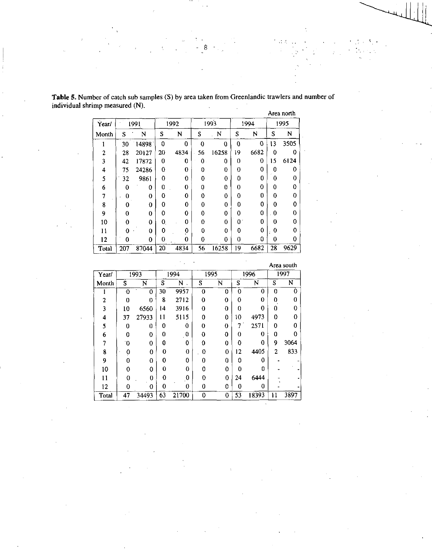|       |     |       |             |             |          |                |                  |      |             | Area north |
|-------|-----|-------|-------------|-------------|----------|----------------|------------------|------|-------------|------------|
| Year/ |     | 1991  |             | 1992        |          | 1993           |                  | 1994 | 1995        |            |
| Month | S   | N     | S           | N           | S        | N              | S                | N    | S           | N          |
|       | 30  | 14898 | $\mathbf 0$ | 0           | 0        | $\overline{0}$ | $\boldsymbol{0}$ | 0    | 13          | 3505       |
| 2     | 28  | 20127 | 20          | 4834        | 56       | 16258          | 19               | 6682 | 0           | 0          |
| 3     | 42  | 17872 | 0           | 0           | 0        | 0              | 0                | 0    | 15          | 6124       |
| 4     | 75  | 24286 | 0           | 0           | 0        | 0              | 0                | 0    | 0           | 0          |
| 5     | 32  | 9861  | 0           | 0           | 0        | $\bf{0}$       | $\bf{0}$         | 0    | 0           | $\bf{0}$   |
| 6     | 0   | 0     | 0           | 0           | 0        | 0              | 0                | 0    | 0           | 0          |
| 7     | 0   | 0     | 0           | 0           | 0        | 0              | 0                | 0    | 0           | 0          |
| 8     | 0   | 0     | $\Omega$    | $\mathbf 0$ | $\Omega$ | $\mathbf 0$    | 0                | 0    | 0           | $\bf{0}$   |
| 9     | 0   | 0     | 0           | 0           | 0        | 0              | 0                | 0    | $\bf{0}$    | 0          |
| 10    | 0   | 0     | 0           | 0           | 0        | 0              | $\mathbf{0}$     | 0    | 0           | 0          |
| 11    | 0   | 0     | 0           | 0           | 0        | 0              | 0                | 0    | $\mathbf 0$ | 0          |
| 12    | 0   | 0     | 0           | 0           | 0        | 0              | $\bf{0}$         | 0    | 0           | 0          |
| Total | 207 | 87044 | 20          | 4834        | 56       | 16258          | 19               | 6682 | 28          | 9629       |

**Table 5.** Number of catch sub samples (S) by area taken from Greenlandic trawlers and number of individual shrimp measured (N).

8

 $\mathcal{L} \subset \mathcal{L}$ 

|       |                |             |    |                    |   |          |    |          |                | Area south |
|-------|----------------|-------------|----|--------------------|---|----------|----|----------|----------------|------------|
| Year/ |                | 1993        |    | 1994               |   | 1995     |    | 1996     | 1997           |            |
| Month | S              | N           | S  | N                  |   | N        | S  | N        | S              | N          |
|       | ۰0             | $\mathbf 0$ | 30 | 9957               | 0 | 0        | 0  | 0        | 0              | 0          |
| 2     | 0              | 0           | 8  | 2712               | 0 | $\theta$ | 0  | 0        | Ω              | 0          |
| 3     | 10             | 6560        | 14 | 3916               | 0 | 0        | 0  | 0        | 0              | 0          |
| 4     | 37             | 27933       | 11 | 5115               | 0 | 0        | 10 | 4973     | 0              | 0          |
| 5     | 0              | 0           | 0  | 0                  | 0 | $\bf{0}$ | 7  | 2571     | 0              | 0          |
| 6     | O              | 0           | 0  | $\mathbf{0}_\perp$ | 0 | 0        | 0  | 0        | 0              | 0          |
| 7     | $\overline{0}$ | 0           | 0  | 0                  | 0 | 0        | 0  | 0        | 9              | 3064       |
| 8     | 0              | 0           | 0  | $\overline{0}$     | 0 | $\bf{0}$ | 12 | 4405     | $\overline{2}$ | 833        |
| 9     | 0              | 0           | 0  | 0                  | 0 | 0        | 0  | 0        |                |            |
| 10    | 0              | $\Omega$    | 0  | 0                  | ŋ | 0        | 0  | 0        |                |            |
| 11    | 0              | 0           | 0  | $\mathbf{0}$       | 0 | $\bf{0}$ | 24 | 6444     |                |            |
| 12    | 0              | 0           | 0  | 0                  | 0 | 0        | 0  | $\Omega$ |                |            |
| Total | 47             | 34493       | 63 | 21700              | 0 | $\bf{0}$ | 53 | 18393    | Ħ              | 3897       |

 $\ddot{\phantom{a}}$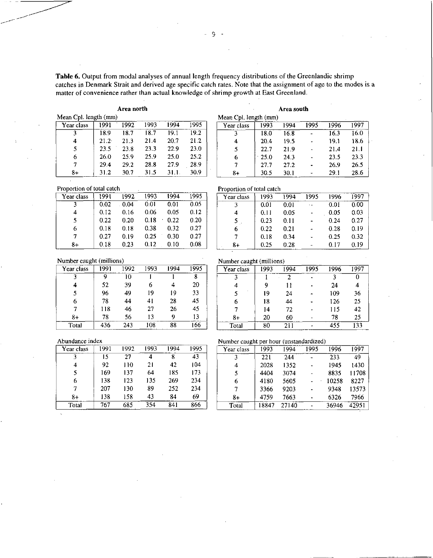Table 6. Output from modal analyses of annual length frequency distributions of the Greenlandic shrimp catches in Denmark Strait and derived age specific catch rates. Note that the assignment of age to the modes is a matter of convenience rather than actual knowledge of shrimp growth at East Greenland.

# Area north

| Mean Cpl. length (mm) |                   |      |      |      |      |
|-----------------------|-------------------|------|------|------|------|
| Year class            | 1991              | 1992 | 1993 | 1994 | 1995 |
| 3                     | 18.9              | 18.7 | 18.7 | 19.1 | 19.2 |
| 4                     | 21.2 <sup>2</sup> | 21.3 | 21.4 | 20.7 | 21.2 |
| 5                     | 23.5              | 23.8 | 23.3 | 22.9 | 23.0 |
| 6                     | <b>260</b>        | 25.9 | 25.9 | 25.0 | 25.2 |
| 7                     | 294               | 29.2 | 28.8 | 27.9 | 28.9 |
| 8+                    | 31.2              | 30.7 | 31.5 | 31.1 | 30.9 |

| Proportion of total catch |  |  |  |
|---------------------------|--|--|--|
|---------------------------|--|--|--|

| Year class | 1991 | 1992 | 1993 | 1994 | 1995 |
|------------|------|------|------|------|------|
| ٦          | 0.02 | 0.04 | 0.01 | 0.01 | 0.05 |
|            | 0.12 | 0.16 | 0.06 | 0.05 | 0.12 |
| 5          | 0.22 | 0.20 | 0.18 | 0.22 | 0.20 |
| 6          | 0.18 | 0.18 | 0.38 | 0.32 | 0.27 |
| 7          | 0.27 | 0.19 | 0.25 | 0.30 | 0.27 |
| 8+         | 0.18 | 0.23 | 0.12 | 0.10 | 0.08 |

|                       |      | Area south |      |      |      |
|-----------------------|------|------------|------|------|------|
| Mean Cpl. length (mm) |      |            |      |      |      |
| Year class            | 1993 | 1994       | 1995 | 1996 | 1997 |
|                       | 18.0 | 16.8       |      | 16.3 | 16.0 |
| 4                     | 20.4 | 19.5       |      | 19.1 | 18.6 |
| 5                     | 22.7 | 21.9       |      | 21.4 | 21.1 |
| 6                     | 25.0 | 24.3       |      | 23.5 | 23.3 |
|                       | 27.7 | 27.2       |      | 26.9 | 26.5 |

 $30.1$ 

29.1

28.6

# Proportion of total catch

 $8+$ 

30.5

| Year class | 1993 | 1994 | 1995 | 1996 | 1997 |
|------------|------|------|------|------|------|
|            | 0.01 | 0.01 |      | 0.01 | 0.00 |
| 4          | 0.11 | 0.05 |      | 0.05 | 0.03 |
| 5          | 0.23 | 0.11 |      | 0.24 | 0.27 |
| 6          | 0.22 | 0.21 |      | 0.28 | 0.19 |
|            | 0.18 | 0.34 |      | 0.25 | 0.32 |
| 8+         | 0.25 | 0.28 |      | 0.17 | 0.19 |

Number caught (millions)

| Year class | 1991 | 1992 | 1993 | 1994 | 1995 |
|------------|------|------|------|------|------|
|            | 9    | 10   |      |      | 8    |
|            | 52   | 39   | 6    | 4    | 20   |
| 5          | 96   | 49   | 19   | 19   | 33   |
| 6          | 78   | 44   | 41   | 28   | 45   |
|            | 118  | 46   | 27   | 26   | 45   |
| 8+         | 78   | 56   | 13   | Q    | 13   |
| Total      | 436  | 243  | 108  | 88   | 166  |

| Number caught (millions |  |  |
|-------------------------|--|--|

| 1993 | 1994 | 1995 | 1996 | 1997                             |
|------|------|------|------|----------------------------------|
|      | 2    |      | 3    |                                  |
| 9    | 11   |      | 24   |                                  |
| 19   | 24   |      | 109  | 36                               |
| 18   | 44   |      | 126  | 25                               |
| 14   | 72   |      | 115  | 42                               |
| 20   | 60   |      | 78   | 25                               |
| 80   | 211  |      | 455  | 133                              |
|      |      |      |      | гчиност сандиг (пшигонз <i>)</i> |

#### Abundance index

| Year class | 1991 | 1992 | 1993 | 1994 | 1995 |
|------------|------|------|------|------|------|
| ٦          | 15   | 27   |      | 8    | 43   |
| 4          | 92   | 110  | 21   | 42   | 104  |
| 5          | 169  | 137  | 64   | 185  | 173  |
| 6          | 138  | 123  | 135  | 269  | 234  |
| 7          | 207  | 130  | 89   | 252  | 234  |
| 8+         | 138  | 158  | 43   | 84   | 69   |
| Total      | 767  | 685  | 354  | 841  | 866  |

Number caught per hour (unstandardized)

| Year class | 1993  | 1994  | 1995 | 1996  | 1997  |
|------------|-------|-------|------|-------|-------|
| ٦          | 221   | 244   |      | 233   | 49    |
|            | 2028  | 1352  |      | 1945  | 1430  |
|            | 4404  | 3074  |      | 8835  | 11708 |
| 6          | 4180  | 5605  |      | 10258 | 8227  |
|            | 3366  | 9203  |      | 9348  | 13573 |
| $8+$       | 4759  | 7663  |      | 6326  | 7966  |
| Total      | 18847 | 27140 |      | 36946 | 42951 |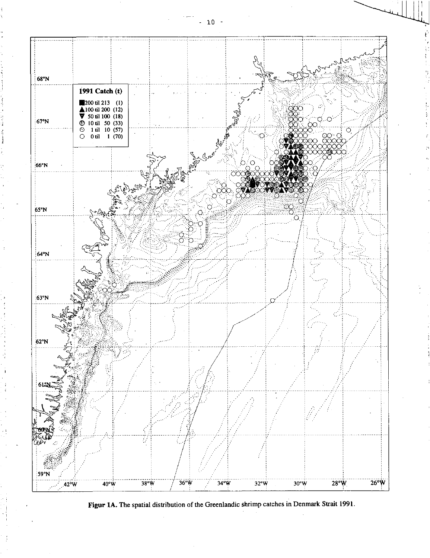

Figur 1A. The spatial distribution of the Greenlandic shrimp catches in Denmark Strait 1991.

 $-10$  $\overline{\phantom{a}}$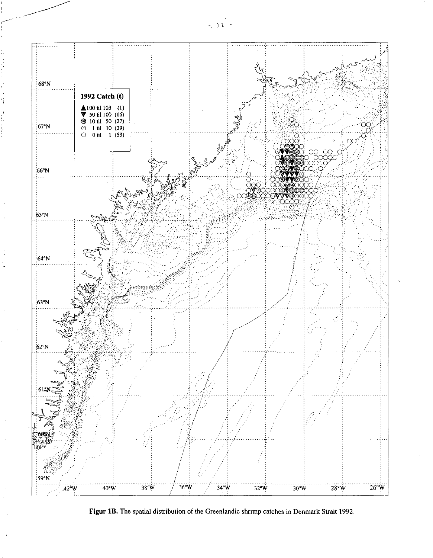

Figur 1B. The spatial distribution of the Greenlandic shrimp catches in Denmark Strait 1992.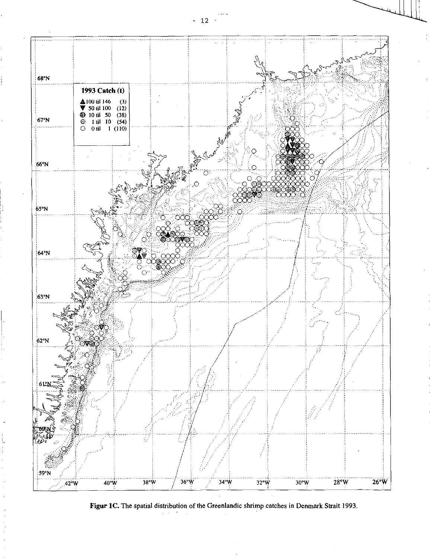

Figur 1C. The spatial distribution of the Greenlandic shrimp catches in Denmark Strait 1993.

 $-12 -$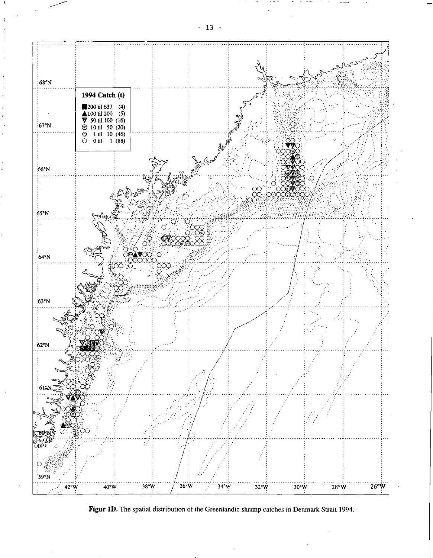

Figur 1D. The spatial distribution of the Greenlandic shrimp catches in Denmark Strait 1994.

 $-13 -$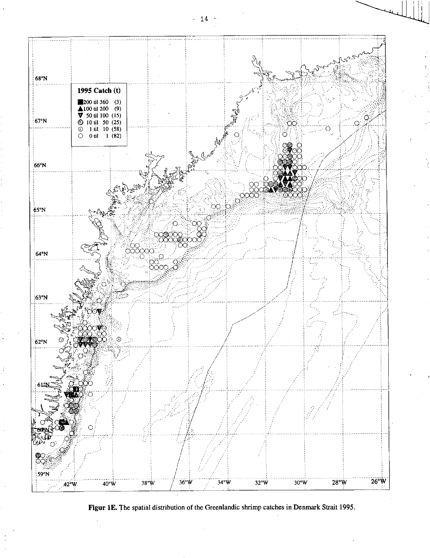

Figur 1E. The spatial distribution of the Greenlandic shrimp catches in Denmark Strait 1995.

 $14$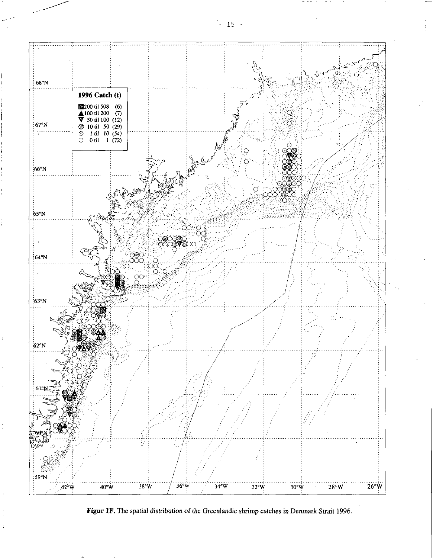



 $\frac{1}{2}$  15 -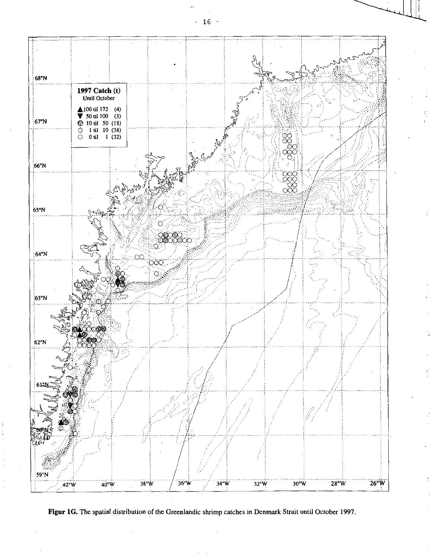



- 16 -

I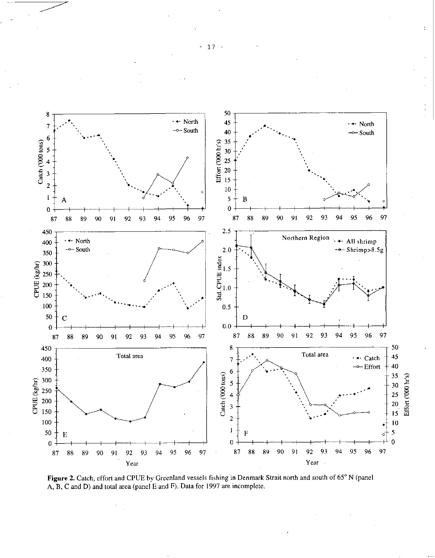

Figure 2. Catch, effort and CPUE by Greenland vessels fishing in Denmark Strait north and south of 65° N (panel A, B, C and D) and total area (panel E and F). Data for 1997 are incomplete.

- 17 -

•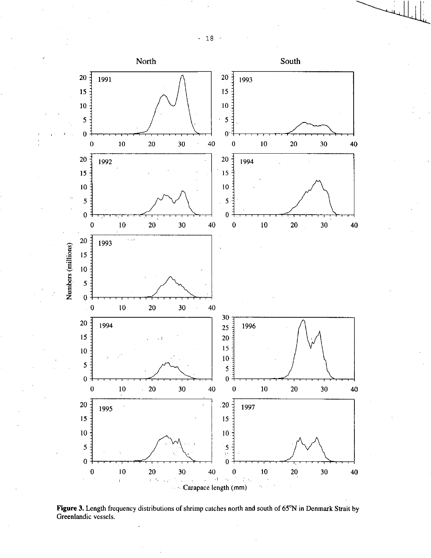- 18 -



**Figure 3.** Length frequency distributions of shrimp catches north and south of 65°N in Denmark Strait by Greenlandic vessels.